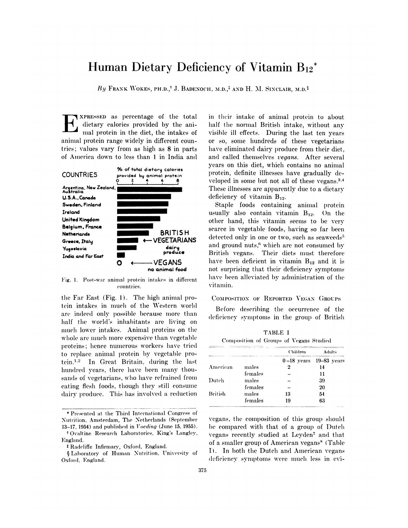# Human Dietary Deficiency of Vitamin B<sub>12</sub><sup>\*</sup>

By FRANK WOKES, PH.D.,<sup>†</sup> J. BADENOCH, M.D.,<sup>‡</sup> AND H. M. SINCLAIR, M.D.<sup>§</sup>

XPRESSED as percentage of the total dietary calories provided by the animal protein in the diet, the intakes of animal protein range widely in different countries; values vary from as high as 8 in parts of America down to less than 1 in India and



Fig. 1. Post-war animal protein intakes in different countries.

the Far East (Fig. 1). The high animal protein intakes in much of the Western world are indeed only possible because more than half the world's inhabitants are living on much lower intakes. Animal proteins on the whole are much more expensive than vegetable proteins; hence numerous workers have tried to replace animal protein by vegetable protein.<sup>1,2</sup> In Great Britain, during the last hundred years, there have been many thousands of vegetarians, who have refrained from eating flesh foods, though they still consume dairy produce. This has involved a reduction in their intake of animal protein to about half the normal British intake, without any visible ill effects. During the last ten years or so, some hundreds of these vegetarians have eliminated dairy produce from their diet. and called themselves vegans. After several years on this diet, which contains no animal protein, definite illnesses have gradually developed in some but not all of these vegans.<sup>3,4</sup> These illnesses are apparently due to a dietary deficiency of vitamin  $B_{12}$ .

Staple foods containing animal protein usually also contain vitamin  $B_{12}$ . On the other hand, this vitamin seems to be very scarce in vegetable foods, having so far been detected only in one or two, such as seaweeds<sup>5</sup> and ground nuts,<sup>6</sup> which are not consumed by British vegans. Their diets must therefore have been deficient in vitamin  $B_{12}$  and it is not surprising that their deficiency symptoms have been alleviated by administration of the vitamin.

#### COMPOSITION OF REPORTED VEGAN GROUPS

Before describing the occurrence of the deficiency symptoms in the group of British

| Composition of Groups of Vegans Studied<br><b>RELATED A Publishment of the con-</b> |         |          |                            |  |  |  |
|-------------------------------------------------------------------------------------|---------|----------|----------------------------|--|--|--|
|                                                                                     |         | Children | Adults                     |  |  |  |
|                                                                                     |         |          | $0-18$ years $19-83$ years |  |  |  |
| American                                                                            | males   |          | 14                         |  |  |  |
|                                                                                     | females |          | 11                         |  |  |  |
| Dutch                                                                               | males   |          | 39                         |  |  |  |
|                                                                                     | females |          | 20                         |  |  |  |
| <b>British</b>                                                                      | males   | 13       | 54                         |  |  |  |
|                                                                                     | females | 19       | 63                         |  |  |  |

TABLE I

vegans, the composition of this group should be compared with that of a group of Dutch vegans recently studied at Leyden<sup>7</sup> and that of a smaller group of American vegans<sup>8</sup> (Table I). In both the Dutch and American vegans deficiency symptoms were much less in evi-

<sup>\*</sup> Presented at the Third International Congress of Nutrition, Amsterdam, The Netherlands (September 13-17, 1954) and published in  $Voeding$  (June 15, 1955).

<sup>&</sup>lt;sup>†</sup> Ovaltine Research Laboratories, King's Langley, England.

<sup>&</sup>lt;sup>‡</sup> Radcliffe Infirmary, Oxford, England.

SLaboratory of Human Nutrition. University of Oxford, England.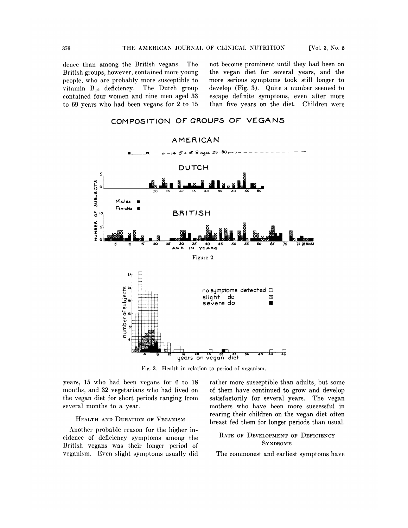dence than among the British vegans. The British groups, however, contained more young people, who are probably more susceptible to vitamin  $B_{12}$  deficiency. The Dutch group contained four women and nine men aged 33 to 69 years who had been vegans for 2 to 15

not become prominent until they had been on the vegan diet for several years, and the more serious symptoms took still longer to develop (Fig. 3). Quite a number seemed to escape definite symptoms, even after more than five years on the diet. Children were



**COMPOSITION OF GROUPS OF VEGANS**

Fig. 3. Health in relation to period of veganism.

years, 15 who had been vegans for 6 to 18 months, and 32 vegetarians who had lived on the vegan diet for short periods ranging from several months to a year.

## HEALTH AND DURATION OF VEGANISM

Another probable reason for the higher incidence of deficiency symptoms among the British vegans was their longer period of veganism. Even slight symptoms usually did rather more susceptible than adults, but some of them have continued to grow and develop satisfactorily for several years. The vegan mothers who have been more successful in rearing their children on the vegan diet often breast fed them for longer periods than usual.

## **RATE OF DEVELOPMENT OF DEFICIENCY SYNDROME**

The commonest and earliest symptoms have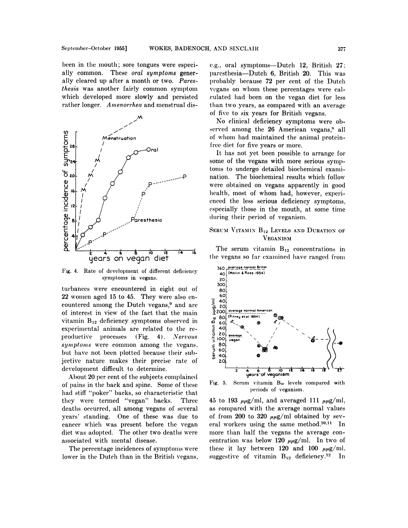been in the mouth; sore tongues were especially common. These *oral* symptoms generally cleared up after a month or two. Paresthesia was another fairly common symptom which developed more slowly and persisted rather longer. Amenorrhea and menstrual dis-



Fig. 4. Rate of development of different deficiency symptoms in vegans.

turbances were encountered in eight out of 22 women aged 15 to 45. They were also encountered among the Dutch vegans,<sup>9</sup> and are of interest in view of the fact that the main vitamin  $B_{12}$  deficiency symptoms observed in experimental animals are related to the reproductive processes (Fig. 4). Nervous symptoms were common among the vegans, but have not been plotted because their subjective nature makes their precise rate of development difficult to determine.

About 20 per cent of the subjects complained of pains in the back and spine. Some of these had stiff "poker" backs, so characteristic that they were termed "vegan" backs. Three deaths occurred, all among vegans of several years' standing. One of these was due to cancer which was present before the vegan diet was adopted. The other two deaths were associated with mental disease.

The percentage incidences of symptoms were lower in the Dutch than in the British vegans, e.g., oral symptoms—Dutch 12. British 27: paresthesia—Dutch 6, British 20. This was probably because 72 per cent of the Dutch vegans on whom these percentages were calculated had been on the vegan diet for less than two years, as compared with an average of five to six years for British vegans.

No clinical deficiency symptoms were observed among the 26 American vegans,<sup>8</sup> all of whom had maintained the animal proteinfree diet for five years or more.

It has not yet been possible to arrange for some of the vegans with more serious symptoms to undergo detailed biochemical examination. The biochemical results which follow were obtained on vegans apparently in good health, most of whom had, however, experienced the less serious deficiency symptoms, especially those in the mouth, at some time during their period of veganism.

## SERUM VITAMIN B<sub>12</sub> LEVELS AND DURATION OF **VEGANISM**

The serum vitamin  $B_{12}$  concentrations in the vegans so far examined have ranged from



Serum vitamin B<sub>12</sub> levels compared with Fig. 5. periods of veganism.

45 to 193  $\mu\mu$ g/ml, and averaged 111  $\mu\mu$ g/ml, as compared with the average normal values of from 200 to 320  $\mu\mu$ g/ml obtained by several workers using the same method.<sup>10,11</sup> In more than half the vegans the average concentration was below 120  $\mu\mu$ g/ml. In two of these it lay between 120 and 100  $\mu\mu$ g/ml, suggestive of vitamin  $B_{12}$  deficiency.<sup>12</sup> In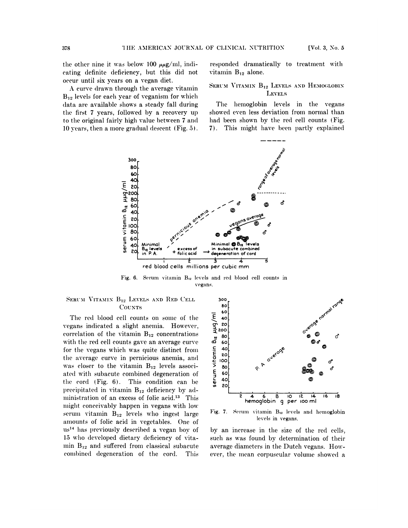the other nine it was below 100  $\mu\mu$ g/ml, indicating definite deficiency, but this did not occur until six years on a vegan diet.

A curve drawn through the average vitamin  $B_{12}$  levels for each year of veganism for which data are available shows a steady fall during the first 7 years, followed by a recovery up to the original fairly high value between 7 and 10 years, then a more gradual descent (Fig. 5). responded dramatically to treatment with vitamin  $B_{12}$  alone.

#### SERUM VITAMIN B<sub>12</sub> LEVELS AND HEMOGLOBIN **LEVELS**

The hemoglobin levels in the vegans showed even less deviation from normal than had been shown by the red cell counts (Fig. 7). This might have been partly explained



Fig. 6. Serum vitamin B<sub>12</sub> levels and red blood cell counts in vegans.

#### SERUM VITAMIN B<sub>12</sub> LEVELS AND RED CELL **COUNTS**

The red blood cell counts on some of the vegans indicated a slight anemia. However, correlation of the vitamin  $B_{12}$  concentrations with the red cell counts gave an average curve for the vegans which was quite distinct from the average curve in pernicious anemia, and was closer to the vitamin  $B_{12}$  levels associated with subacute combined degeneration of the cord (Fig. 6). This condition can be precipitated in vitamin  $B_{12}$  deficiency by administration of an excess of folic acid.<sup>13</sup> This might conceivably happen in vegans with low serum vitamin  $B_{12}$  levels who ingest large amounts of folic acid in vegetables. One of us<sup>14</sup> has previously described a vegan boy of 15 who developed dietary deficiency of vita- $\min B_{12}$  and suffered from classical subacute combined degeneration of the cord. This



Fig. 7. Serum vitamin B<sub>12</sub> levels and hemoglobin levels in vegans.

by an increase in the size of the red cells, such as was found by determination of their average diameters in the Dutch vegans. However, the mean corpuscular volume showed a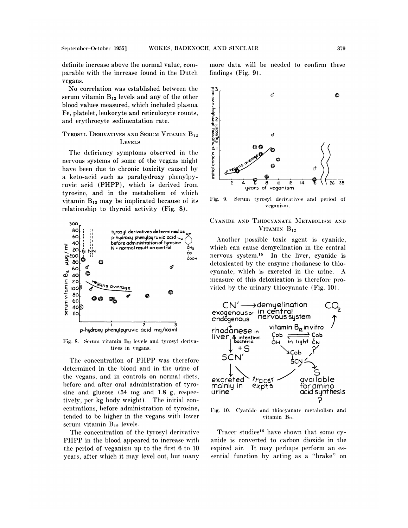definite increase above the normal value, comparable with the increase found in the Dutch vegans.

No correlation was established between the  $\frac{93}{5}$ <br>
rum vitamin  $B_{12}$  levels and any of the other<br>
ood values measured, which included plasma<br>  $\frac{3}{5}$ , platelet, leukocyte and reticulocyte counts,<br>
derythrocyte sed serum vitamin  $B_{12}$  levels and any of the other blood values measured, which included plasma Fe, platelet, leukocyte and reticulocyte counts, and erythrocyte sedimentation rate.

## **TYROSYL DERIVATIVES AND SERUM VITAMIN** B12 LEVELS

The deficiency symptoms observed in the nervous systems of some of the vegans nuight have been due to chronic toxicity caused by a keto-acid such as parahydroxy phenylpyruvic acid (PHPP), which is derived from tyrosine, and in the metabolism of which vitamin  $B_{12}$  may be implicated because of its Fig. 9. relationship to thyroid activity (Fig. 8).



Fig. 8. Serum vitamin **B12** levels and tyrosyl derivatives in vegans.

The concentration of PHPP was therefore determined in the blood and in the urine of the vegans, and in controls on normal diets, before and after oral administration of tyrosine and glucose  $(54 \text{ mg and } 1.8 \text{ g}, \text{respect-}$ tively, per kg body weight). The initial concentrations, before administration of tyrosine, tended to be higher in the vegans with lower serum vitamin  $B_{12}$  levels.

The concentration of the tyrosyl derivative PHPP in the blood appeared to increase with the period of veganism up to the first  $6$  to  $10$ years, after which it may level out, but many

more data will be needed to confirm these findings (Fig. 9).



Serum tyrosyl derivatives and period of veganism.

# **CYANIDE AND THIOCYANATE METABOLISM AND VITAMIN** B12

Another possible toxic agent is cyanide, which can cause demyelination in the central nervous system.<sup>15</sup> In the liver, cyanide is detoxicated by the enzyme rhodanese to thiocyanate, which is excreted in the urine. A measure of this detoxication is therefore provided by the urinary thiocyanate  $(Fig. 10)$ .



**Fig. 10.** Cyanide and thiocyanate metabolism and vitamin **B12.**

Tracer studies<sup>16</sup> have shown that some cyanide is converted to carbon dioxide in the expired air. It may perhaps perform an essential function by acting as a "brake" on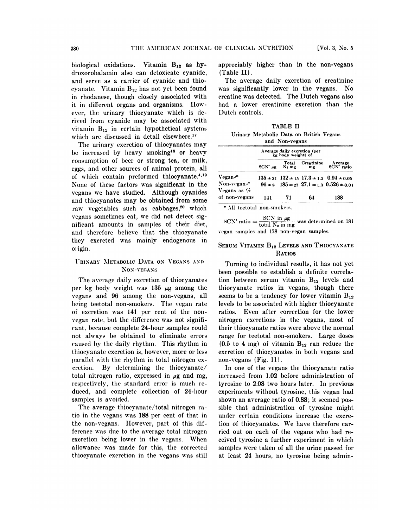**biological oxidations. Vitamin** B12 as hy**droxocobalalnin also can detoxicate cyanide, and serve as a carrier of cyanide and** thiocyanate. Vitamin  $B_{12}$  has not yet been found in rhodanese, though closely associated with it in different organs and organisms. However, the urinary thiocyanate which is derived from cyanide may be associated with vitamin  $B_{12}$  in certain hypothetical systems which are discussed in detail elsewhere.<sup>17</sup>

**Tile urinary excretion of thiocyanates may** be increased by heavy smoking<sup>18</sup> or heavy consumption of beer or strong tea, or milk, eggs, and other sources of animal protein, all of which contain preformed thiocyanate.<sup>4,19</sup> **None of thuese factors was significant in** the vegans we have studied. Although cyanides and thiocyanates may be obtained from some **raw vegetables** such as cabbages,<sup>20</sup> which vegans sometimes eat, we did not detect significant amounts in samples of their diet, and therefore believe that the thiocyanate they excreted was mainly endogenous in origin.

#### **IRINARY METABOLIC DATA ON VEGANS AND NON-VEGANS**

The average daily excretion of thiocyanates per  $kg$  body weight was 135  $\mu$ g among the vegans and 96 among the non-vegans, all being teetotal non-smokers. The vegan rate of excretion was 141 per cent of the non **vegan rate, but the difference was not significant, because complete 24-hour samples could not always be obtained to eliminate errors** caused by the daily rhythm. This rhythm in thiocyanate excretion is, however, more or less parallel with the rhythm in total nitrogen ex**cretion.** By determining the thiocyanate/ total nitrogen ratio, expressed in  $\mu$ g and mg, respectively, the standard error is much reduced, and complete collection of 24-hour samples is avoided.

The **average thiocyanate/total nitrogen ratio** in the vegans was 188 per **cent of that in** the non-vegans. However, part of this difference was due to the average total nitrogen **excretion** being lower in the vegans. When allowance was **made for thus, the corrected** thiocyanate excretion in the vegans was still

**appreciably higher than in the non-vegans** (Table II).

The average daily **excretion of creatinine** was significantly lower in the vegans. No **creatine was detected. The Dutch vegans also** had a lower creatinine excretion than the Dutch controls.

**TABLE II** Urinary **Metabolic Data on British Vegans** and **Non-vegans**

|                               | Average daily excretion (per<br>kg body weight) of |       |                  |                                                          |
|-------------------------------|----------------------------------------------------|-------|------------------|----------------------------------------------------------|
|                               | $SCN$ $\mu$ g $N_2$ mg                             | Total | Creatinine<br>mg | A verage<br>SCN' ratio                                   |
| Vegans*                       |                                                    |       |                  | $135 \pm 31$ $132 \pm 15$ $17.3 \pm 1.2$ $0.94 \pm 0.05$ |
| Non-vegans*<br>Vegans as $\%$ |                                                    |       |                  | $96 \pm s$ $185 \pm 27$ $27.1 \pm 1.3$ $0.526 \pm 0.01$  |
| of non-vegans                 | 141                                                | 71    | 64               | 188                                                      |

 $SCN \ln \mu g$ **SCN'** ratio  $=$   $\frac{\text{SCN in }\mu\text{g}}{\text{total N}_2 \text{ in }\text{mg}}$  was determined on 181 vegan samples and 178 non-vegan samples.

## **SERUM VITAMIN** B12 LEVELS **AND THIOCYANATE RATIOS**

Turning to individual results, it has not yet **been possible to establish a definite correla-** $\tan$  **between serum vitamin**  $B_{12}$  **levels** and **thiocyanate ratios in vegans, though there** seems to be a tendency for lower vitamin  $B_{12}$ levels to be associated with higher thiocyanate ratios. Even after correction for the lower nitrogen excretions in the vegans, most of their thiocyanate ratios were above the normal range for teetotal non-smokers. Large doses  $(0.5 \text{ to } 4 \text{ mg})$  of vitamin  $B_{12}$  can reduce the **excretion of thiocyanates in** both vegans and non-vegans (Fig. 11).

In one of the **vegans** the thiocyanate ratio increased from 1.02 before administration of tyrosine to 2.08 two hours hater. In previous **experinuents without tyrosine, this vegan** had **shown an average ratio of** 0.88; it seemed possible that administration of tyrosine might **under certain conditions increase** the **excretion of thiocyanates. We have therefore car** ried out on each of the vegans who had re**ceived tyrosine a** further experiment in which samples were taken of all the urine passed for **at least** 24 hours, no tyrosine being admin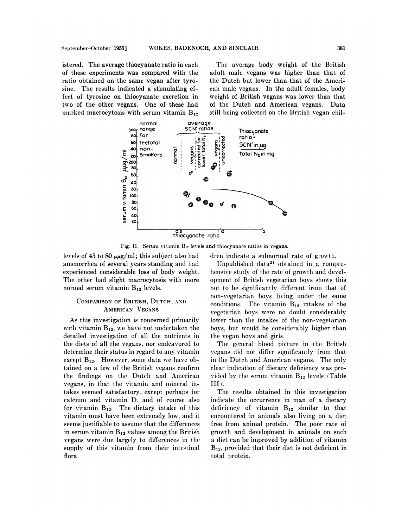istered. The average thiocyanate ratio in each of these experiments was compared with the ratio obtained on the same vegan after tyrosine. The results indicated a stimulating effect of tyrosine on thiocyanate excretion in two of the other vegans. One of these had marked macrocytosis with serum vitamin  $B_{12}$ 

The average body weight of the British adult male vegans was higher than that of the Dutch but lower than that of the American male vegans. In the adult females, body weight of British vegans was lower than that of the Dutch and American vegans. Data still being collected on the British vegan chil-



Fig. 11. Serum vitamin B12 levels and thiocyanate ratios in vegans.

levels of 45 to 80  $\mu\mu$ g/ml; this subject also had amenorrhea of several years standing and had experienced considerable loss of body weight. The other had slight macrocytosis with more normal serum vitamin  $B_{12}$  levels.

# COMPARISON OF BRITISH, DUTCH, AND **AMERICAN VEGANS**

As this investigation is concerned primarily with vitamin  $B_{12}$ , we have not undertaken the detailed investigation of all the nutrients in the diets of all the vegans, nor endeavored to determine their status in regard to any vitamin except  $B_{12}$ . However, some data we have obtained on a few of the British vegans confirm the findings on the Dutch and American vegans, in that the vitamin and mineral intakes seemed satisfactory, except perhaps for calcium and vitamin D, and of course also for vitamin B<sub>12</sub>. The dietary intake of this vitamin must have been extremely low, and it seems justifiable to assume that the differences in serum vitamin  $B_{12}$  values among the British vegans were due largely to differences in the supply of this vitamin from their intestinal flora.

dren indicate a subnormal rate of growth.

Unpublished data<sup>21</sup> obtained in a comprehensive study of the rate of growth and development of British vegetarian boys shows this not to be significantly different from that of non-vegetarian boys living under the same conditions. The vitamin  $B_{12}$  intakes of the vegetarian boys were no doubt considerably lower than the intakes of the non-vegetarian boys, but would be considerably higher than the vegan boys and girls.

The general blood picture in the British vegans did not differ significantly from that in the Dutch and American vegans. The only clear indication of dietary deficiency was provided by the serum vitamin  $B_{12}$  levels (Table III).

The results obtained in this investigation indicate the occurrence in man of a dietary deficiency of vitamin  $B_{12}$  similar to that encountered in animals also living on a diet free from animal protein. The poor rate of growth and development in animals on such a diet can be improved by addition of vitamin  $B_{12}$ , provided that their diet is not deficient in total protein.